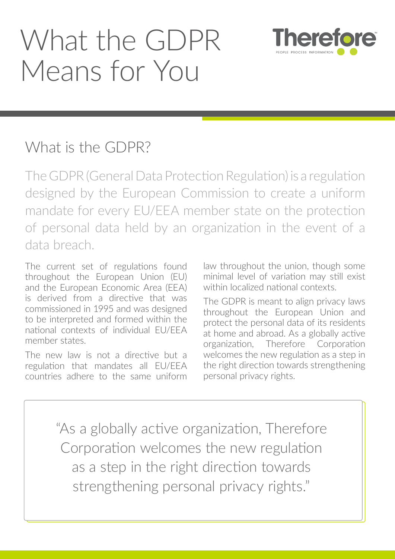# What the GDPR Means for You



## What is the GDPR?

The GDPR (General Data Protection Regulation) is a regulation designed by the European Commission to create a uniform mandate for every EU/EEA member state on the protection of personal data held by an organization in the event of a data breach.

The current set of regulations found throughout the European Union (EU) and the European Economic Area (EEA) is derived from a directive that was commissioned in 1995 and was designed to be interpreted and formed within the national contexts of individual EU/EEA member states.

The new law is not a directive but a regulation that mandates all EU/EEA countries adhere to the same uniform law throughout the union, though some minimal level of variation may still exist within localized national contexts.

The GDPR is meant to align privacy laws throughout the European Union and protect the personal data of its residents at home and abroad. As a globally active organization, Therefore Corporation welcomes the new regulation as a step in the right direction towards strengthening personal privacy rights.

"As a globally active organization, Therefore Corporation welcomes the new regulation as a step in the right direction towards strengthening personal privacy rights."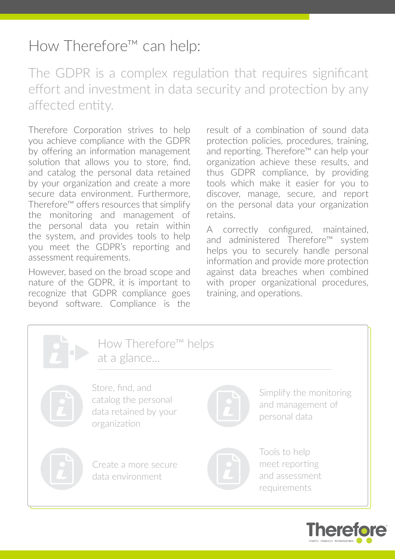## How Therefore™ can help:

The GDPR is a complex regulation that requires significant effort and investment in data security and protection by any affected entity.

Therefore Corporation strives to help you achieve compliance with the GDPR by offering an information management solution that allows you to store, find, and catalog the personal data retained by your organization and create a more secure data environment. Furthermore, Therefore™ offers resources that simplify the monitoring and management of the personal data you retain within the system, and provides tools to help you meet the GDPR's reporting and assessment requirements.

However, based on the broad scope and nature of the GDPR, it is important to recognize that GDPR compliance goes beyond software. Compliance is the result of a combination of sound data protection policies, procedures, training, and reporting. Therefore™ can help your organization achieve these results, and thus GDPR compliance, by providing tools which make it easier for you to discover, manage, secure, and report on the personal data your organization retains.

A correctly configured, maintained, and administered Therefore™ system helps you to securely handle personal information and provide more protection against data breaches when combined with proper organizational procedures, training, and operations.



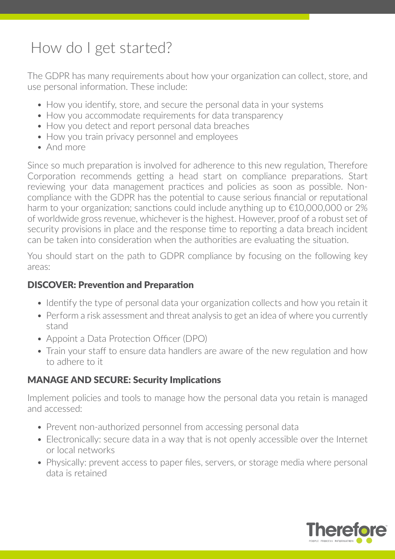# How do I get started?

The GDPR has many requirements about how your organization can collect, store, and use personal information. These include:

- How you identify, store, and secure the personal data in your systems
- How you accommodate requirements for data transparency
- How you detect and report personal data breaches
- How you train privacy personnel and employees
- And more

Since so much preparation is involved for adherence to this new regulation, Therefore Corporation recommends getting a head start on compliance preparations. Start reviewing your data management practices and policies as soon as possible. Noncompliance with the GDPR has the potential to cause serious financial or reputational harm to your organization; sanctions could include anything up to €10,000,000 or 2% of worldwide gross revenue, whichever is the highest. However, proof of a robust set of security provisions in place and the response time to reporting a data breach incident can be taken into consideration when the authorities are evaluating the situation.

You should start on the path to GDPR compliance by focusing on the following key areas:

#### DISCOVER: Prevention and Preparation

- Identify the type of personal data your organization collects and how you retain it
- Perform a risk assessment and threat analysis to get an idea of where you currently stand
- Appoint a Data Protection Officer (DPO)
- Train your staff to ensure data handlers are aware of the new regulation and how to adhere to it

#### MANAGE AND SECURE: Security Implications

Implement policies and tools to manage how the personal data you retain is managed and accessed:

- Prevent non-authorized personnel from accessing personal data
- Electronically: secure data in a way that is not openly accessible over the Internet or local networks
- Physically: prevent access to paper files, servers, or storage media where personal data is retained

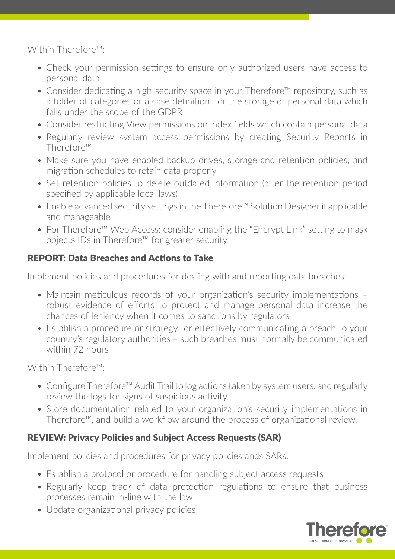Within Therefore™:

- Check your permission settings to ensure only authorized users have access to personal data
- Consider dedicating a high-security space in your Therefore™ repository, such as a folder of categories or a case definition, for the storage of personal data which falls under the scope of the GDPR
- Consider restricting View permissions on index fields which contain personal data
- Regularly review system access permissions by creating Security Reports in Therefore™
- Make sure you have enabled backup drives, storage and retention policies, and migration schedules to retain data properly
- Set retention policies to delete outdated information (after the retention period specified by applicable local laws)
- Enable advanced security settings in the Therefore™ Solution Designer if applicable and manageable
- For Therefore™ Web Access: consider enabling the "Encrypt Link" setting to mask objects IDs in Therefore™ for greater security

#### REPORT: Data Breaches and Actions to Take

Implement policies and procedures for dealing with and reporting data breaches:

- Maintain meticulous records of your organization's security implementations robust evidence of efforts to protect and manage personal data increase the chances of leniency when it comes to sanctions by regulators
- Establish a procedure or strategy for effectively communicating a breach to your country's regulatory authorities – such breaches must normally be communicated within 72 hours

Within Therefore™<sup>.</sup>

- Configure Therefore<sup>™</sup> Audit Trail to log actions taken by system users, and regularly review the logs for signs of suspicious activity.
- Store documentation related to your organization's security implementations in Therefore™, and build a workflow around the process of organizational review.

#### REVIEW: Privacy Policies and Subject Access Requests (SAR)

Implement policies and procedures for privacy policies ands SARs:

- Establish a protocol or procedure for handling subject access requests
- Regularly keep track of data protection regulations to ensure that business processes remain in-line with the law
- Update organizational privacy policies

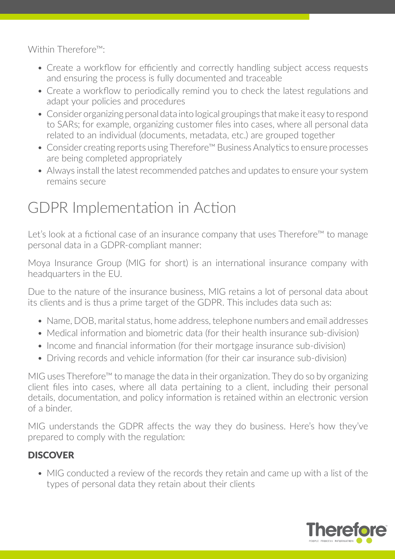Within Therefore™:

- Create a workflow for efficiently and correctly handling subject access requests and ensuring the process is fully documented and traceable
- Create a workflow to periodically remind you to check the latest regulations and adapt your policies and procedures
- Consider organizing personal data into logical groupings that make it easy to respond to SARs; for example, organizing customer files into cases, where all personal data related to an individual (documents, metadata, etc.) are grouped together
- Consider creating reports using Therefore™ Business Analytics to ensure processes are being completed appropriately
- Always install the latest recommended patches and updates to ensure your system remains secure

# GDPR Implementation in Action

Let's look at a fictional case of an insurance company that uses Therefore™ to manage personal data in a GDPR-compliant manner:

Moya Insurance Group (MIG for short) is an international insurance company with headquarters in the EU.

Due to the nature of the insurance business, MIG retains a lot of personal data about its clients and is thus a prime target of the GDPR. This includes data such as:

- Name, DOB, marital status, home address, telephone numbers and email addresses
- Medical information and biometric data (for their health insurance sub-division)
- Income and financial information (for their mortgage insurance sub-division)
- Driving records and vehicle information (for their car insurance sub-division)

MIG uses Therefore™ to manage the data in their organization. They do so by organizing client files into cases, where all data pertaining to a client, including their personal details, documentation, and policy information is retained within an electronic version of a binder.

MIG understands the GDPR affects the way they do business. Here's how they've prepared to comply with the regulation:

#### **DISCOVER**

• MIG conducted a review of the records they retain and came up with a list of the types of personal data they retain about their clients

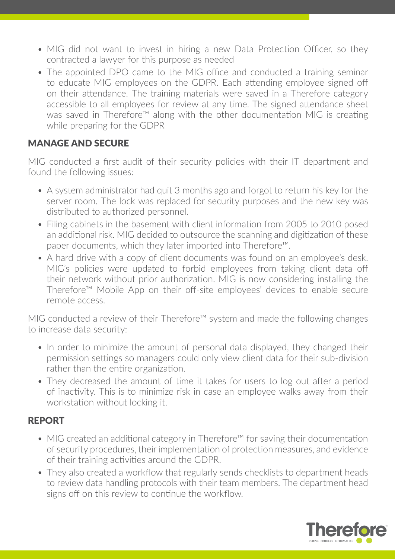- MIG did not want to invest in hiring a new Data Protection Officer, so they contracted a lawyer for this purpose as needed
- The appointed DPO came to the MIG office and conducted a training seminar to educate MIG employees on the GDPR. Each attending employee signed off on their attendance. The training materials were saved in a Therefore category accessible to all employees for review at any time. The signed attendance sheet was saved in Therefore™ along with the other documentation MIG is creating while preparing for the GDPR

#### MANAGE AND SECURE

MIG conducted a first audit of their security policies with their IT department and found the following issues:

- A system administrator had quit 3 months ago and forgot to return his key for the server room. The lock was replaced for security purposes and the new key was distributed to authorized personnel.
- Filing cabinets in the basement with client information from 2005 to 2010 posed an additional risk. MIG decided to outsource the scanning and digitization of these paper documents, which they later imported into Therefore™.
- A hard drive with a copy of client documents was found on an employee's desk. MIG's policies were updated to forbid employees from taking client data off their network without prior authorization. MIG is now considering installing the Therefore™ Mobile App on their off-site employees' devices to enable secure remote access.

MIG conducted a review of their Therefore™ system and made the following changes to increase data security:

- In order to minimize the amount of personal data displayed, they changed their permission settings so managers could only view client data for their sub-division rather than the entire organization.
- They decreased the amount of time it takes for users to log out after a period of inactivity. This is to minimize risk in case an employee walks away from their workstation without locking it.

#### REPORT

- MIG created an additional category in Therefore<sup>™</sup> for saving their documentation of security procedures, their implementation of protection measures, and evidence of their training activities around the GDPR.
- They also created a workflow that regularly sends checklists to department heads to review data handling protocols with their team members. The department head signs off on this review to continue the workflow.